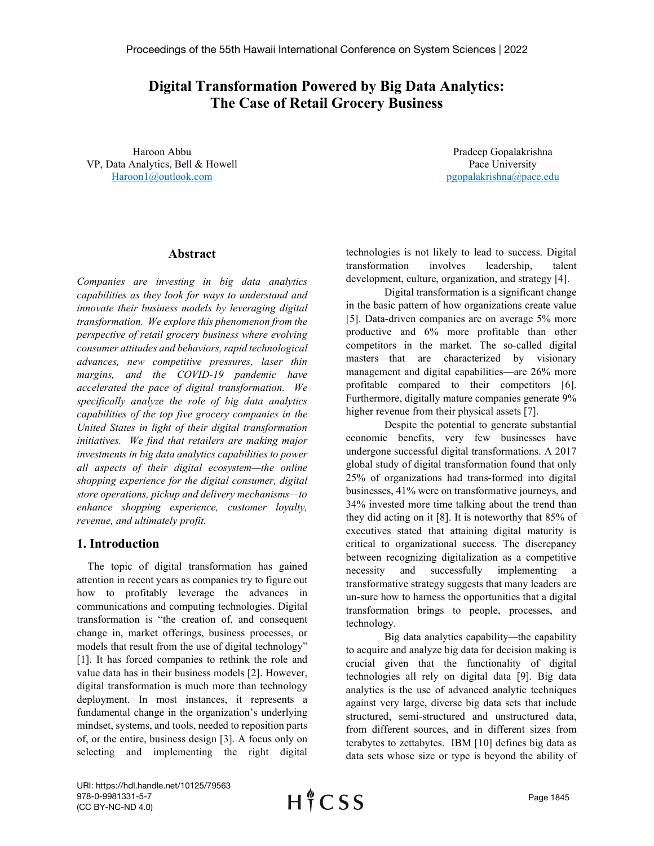# Digital Transformation Powered by Big Data Analytics: The Case of Retail Grocery Business

Haroon Abbu VP, Data Analytics, Bell & Howell Haroon1@outlook.com

Pradeep Gopalakrishna Pace University pgopalakrishna@pace.edu

### Abstract

Companies are investing in big data analytics capabilities as they look for ways to understand and innovate their business models by leveraging digital transformation. We explore this phenomenon from the perspective of retail grocery business where evolving consumer attitudes and behaviors, rapid technological advances, new competitive pressures, laser thin margins, and the COVID-19 pandemic have accelerated the pace of digital transformation. We specifically analyze the role of big data analytics capabilities of the top five grocery companies in the United States in light of their digital transformation initiatives. We find that retailers are making major investments in big data analytics capabilities to power all aspects of their digital ecosystem—the online shopping experience for the digital consumer, digital store operations, pickup and delivery mechanisms—to enhance shopping experience, customer loyalty, revenue, and ultimately profit.

## 1. Introduction

 The topic of digital transformation has gained attention in recent years as companies try to figure out how to profitably leverage the advances in communications and computing technologies. Digital transformation is "the creation of, and consequent change in, market offerings, business processes, or models that result from the use of digital technology" [1]. It has forced companies to rethink the role and value data has in their business models [2]. However, digital transformation is much more than technology deployment. In most instances, it represents a fundamental change in the organization's underlying mindset, systems, and tools, needed to reposition parts of, or the entire, business design [3]. A focus only on selecting and implementing the right digital technologies is not likely to lead to success. Digital transformation involves leadership, talent development, culture, organization, and strategy [4].

Digital transformation is a significant change in the basic pattern of how organizations create value [5]. Data-driven companies are on average 5% more productive and 6% more profitable than other competitors in the market. The so-called digital masters—that are characterized by visionary management and digital capabilities—are 26% more profitable compared to their competitors [6]. Furthermore, digitally mature companies generate 9% higher revenue from their physical assets [7].

Despite the potential to generate substantial economic benefits, very few businesses have undergone successful digital transformations. A 2017 global study of digital transformation found that only 25% of organizations had trans-formed into digital businesses, 41% were on transformative journeys, and 34% invested more time talking about the trend than they did acting on it [8]. It is noteworthy that 85% of executives stated that attaining digital maturity is critical to organizational success. The discrepancy between recognizing digitalization as a competitive necessity and successfully implementing a transformative strategy suggests that many leaders are un-sure how to harness the opportunities that a digital transformation brings to people, processes, and technology.

Big data analytics capability—the capability to acquire and analyze big data for decision making is crucial given that the functionality of digital technologies all rely on digital data [9]. Big data analytics is the use of advanced analytic techniques against very large, diverse big data sets that include structured, semi-structured and unstructured data, from different sources, and in different sizes from terabytes to zettabytes. IBM [10] defines big data as data sets whose size or type is beyond the ability of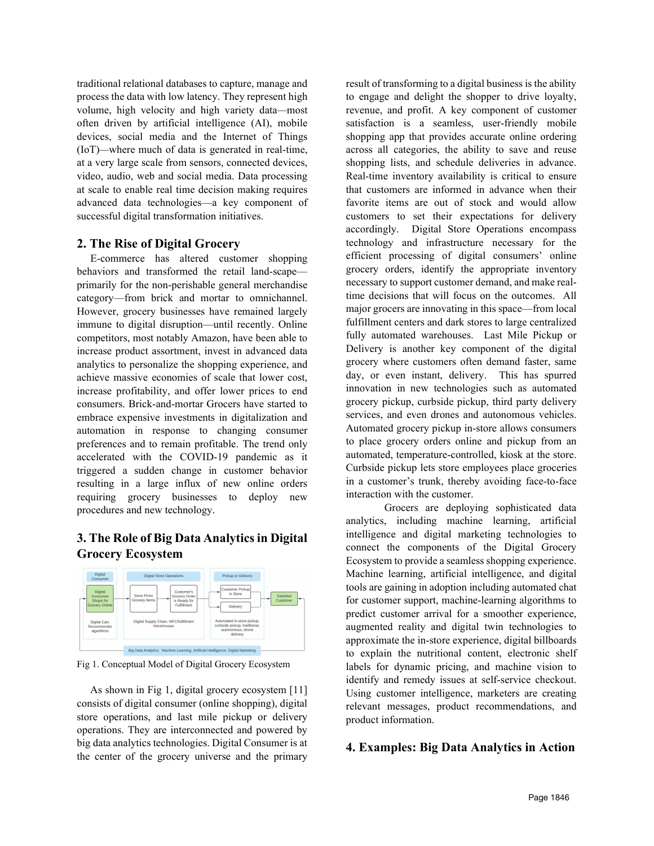traditional relational databases to capture, manage and process the data with low latency. They represent high volume, high velocity and high variety data—most often driven by artificial intelligence (AI), mobile devices, social media and the Internet of Things (IoT)—where much of data is generated in real-time, at a very large scale from sensors, connected devices, video, audio, web and social media. Data processing at scale to enable real time decision making requires advanced data technologies—a key component of successful digital transformation initiatives.

### 2. The Rise of Digital Grocery

 E-commerce has altered customer shopping behaviors and transformed the retail land-scape primarily for the non-perishable general merchandise category—from brick and mortar to omnichannel. However, grocery businesses have remained largely immune to digital disruption—until recently. Online competitors, most notably Amazon, have been able to increase product assortment, invest in advanced data analytics to personalize the shopping experience, and achieve massive economies of scale that lower cost, increase profitability, and offer lower prices to end consumers. Brick-and-mortar Grocers have started to embrace expensive investments in digitalization and automation in response to changing consumer preferences and to remain profitable. The trend only accelerated with the COVID-19 pandemic as it triggered a sudden change in customer behavior resulting in a large influx of new online orders requiring grocery businesses to deploy new procedures and new technology.

## 3. The Role of Big Data Analytics in Digital Grocery Ecosystem



Fig 1. Conceptual Model of Digital Grocery Ecosystem

 As shown in Fig 1, digital grocery ecosystem [11] consists of digital consumer (online shopping), digital store operations, and last mile pickup or delivery operations. They are interconnected and powered by big data analytics technologies. Digital Consumer is at the center of the grocery universe and the primary result of transforming to a digital business is the ability to engage and delight the shopper to drive loyalty, revenue, and profit. A key component of customer satisfaction is a seamless, user-friendly mobile shopping app that provides accurate online ordering across all categories, the ability to save and reuse shopping lists, and schedule deliveries in advance. Real-time inventory availability is critical to ensure that customers are informed in advance when their favorite items are out of stock and would allow customers to set their expectations for delivery accordingly. Digital Store Operations encompass technology and infrastructure necessary for the efficient processing of digital consumers' online grocery orders, identify the appropriate inventory necessary to support customer demand, and make realtime decisions that will focus on the outcomes. All major grocers are innovating in this space—from local fulfillment centers and dark stores to large centralized fully automated warehouses. Last Mile Pickup or Delivery is another key component of the digital grocery where customers often demand faster, same day, or even instant, delivery. This has spurred innovation in new technologies such as automated grocery pickup, curbside pickup, third party delivery services, and even drones and autonomous vehicles. Automated grocery pickup in-store allows consumers to place grocery orders online and pickup from an automated, temperature-controlled, kiosk at the store. Curbside pickup lets store employees place groceries in a customer's trunk, thereby avoiding face-to-face interaction with the customer.

Grocers are deploying sophisticated data analytics, including machine learning, artificial intelligence and digital marketing technologies to connect the components of the Digital Grocery Ecosystem to provide a seamless shopping experience. Machine learning, artificial intelligence, and digital tools are gaining in adoption including automated chat for customer support, machine-learning algorithms to predict customer arrival for a smoother experience, augmented reality and digital twin technologies to approximate the in-store experience, digital billboards to explain the nutritional content, electronic shelf labels for dynamic pricing, and machine vision to identify and remedy issues at self-service checkout. Using customer intelligence, marketers are creating relevant messages, product recommendations, and product information.

## 4. Examples: Big Data Analytics in Action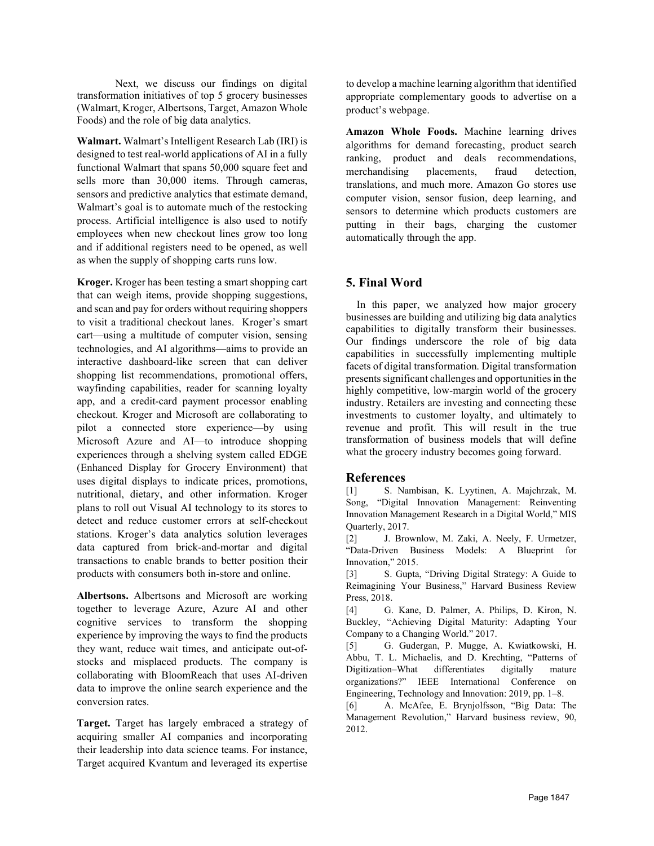Next, we discuss our findings on digital transformation initiatives of top 5 grocery businesses (Walmart, Kroger, Albertsons, Target, Amazon Whole Foods) and the role of big data analytics.

Walmart. Walmart's Intelligent Research Lab (IRI) is designed to test real-world applications of AI in a fully functional Walmart that spans 50,000 square feet and sells more than 30,000 items. Through cameras, sensors and predictive analytics that estimate demand, Walmart's goal is to automate much of the restocking process. Artificial intelligence is also used to notify employees when new checkout lines grow too long and if additional registers need to be opened, as well as when the supply of shopping carts runs low.

Kroger. Kroger has been testing a smart shopping cart that can weigh items, provide shopping suggestions, and scan and pay for orders without requiring shoppers to visit a traditional checkout lanes. Kroger's smart cart—using a multitude of computer vision, sensing technologies, and AI algorithms—aims to provide an interactive dashboard-like screen that can deliver shopping list recommendations, promotional offers, wayfinding capabilities, reader for scanning loyalty app, and a credit-card payment processor enabling checkout. Kroger and Microsoft are collaborating to pilot a connected store experience—by using Microsoft Azure and AI—to introduce shopping experiences through a shelving system called EDGE (Enhanced Display for Grocery Environment) that uses digital displays to indicate prices, promotions, nutritional, dietary, and other information. Kroger plans to roll out Visual AI technology to its stores to detect and reduce customer errors at self-checkout stations. Kroger's data analytics solution leverages data captured from brick-and-mortar and digital transactions to enable brands to better position their products with consumers both in-store and online.

Albertsons. Albertsons and Microsoft are working together to leverage Azure, Azure AI and other cognitive services to transform the shopping experience by improving the ways to find the products they want, reduce wait times, and anticipate out-ofstocks and misplaced products. The company is collaborating with BloomReach that uses AI-driven data to improve the online search experience and the conversion rates.

Target. Target has largely embraced a strategy of acquiring smaller AI companies and incorporating their leadership into data science teams. For instance, Target acquired Kvantum and leveraged its expertise

to develop a machine learning algorithm that identified appropriate complementary goods to advertise on a product's webpage.

Amazon Whole Foods. Machine learning drives algorithms for demand forecasting, product search ranking, product and deals recommendations, merchandising placements, fraud detection, translations, and much more. Amazon Go stores use computer vision, sensor fusion, deep learning, and sensors to determine which products customers are putting in their bags, charging the customer automatically through the app.

## 5. Final Word

 In this paper, we analyzed how major grocery businesses are building and utilizing big data analytics capabilities to digitally transform their businesses. Our findings underscore the role of big data capabilities in successfully implementing multiple facets of digital transformation. Digital transformation presents significant challenges and opportunities in the highly competitive, low-margin world of the grocery industry. Retailers are investing and connecting these investments to customer loyalty, and ultimately to revenue and profit. This will result in the true transformation of business models that will define what the grocery industry becomes going forward.

### References

[1] S. Nambisan, K. Lyytinen, A. Majchrzak, M. Song, "Digital Innovation Management: Reinventing Innovation Management Research in a Digital World," MIS Quarterly, 2017.

[2] J. Brownlow, M. Zaki, A. Neely, F. Urmetzer, "Data-Driven Business Models: A Blueprint for Innovation," 2015.

[3] S. Gupta, "Driving Digital Strategy: A Guide to Reimagining Your Business," Harvard Business Review Press, 2018.

[4] G. Kane, D. Palmer, A. Philips, D. Kiron, N. Buckley, "Achieving Digital Maturity: Adapting Your Company to a Changing World." 2017.

[5] G. Gudergan, P. Mugge, A. Kwiatkowski, H. Abbu, T. L. Michaelis, and D. Krechting, "Patterns of Digitization–What differentiates digitally mature organizations?" IEEE International Conference on Engineering, Technology and Innovation: 2019, pp. 1–8.

[6] A. McAfee, E. Brynjolfsson, "Big Data: The Management Revolution," Harvard business review, 90, 2012.